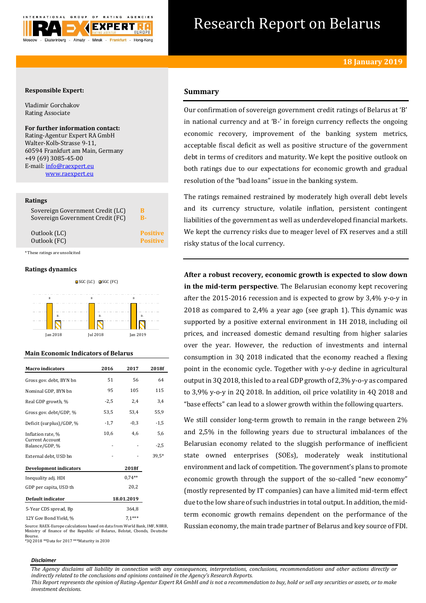

# Research Report on Belarus

# **Responsible Expert:**

Vladimir Gorchakov Rating Associate

# **For further information contact:**

Rating-Agentur Expert RA GmbH Walter-Kolb-Strasse 9-11, 60594 Frankfurt am Main, Germany +49 (69) 3085-45-00 E-mail[: info@raexpert.eu](mailto:info@raexpert.eu) [www.raexpert.eu](http://raexpert.eu/)

## **Ratings**

| Sovereign Government Credit (LC) | B               |
|----------------------------------|-----------------|
| Sovereign Government Credit (FC) | B-              |
| Outlook (LC)                     | <b>Positive</b> |
| Outlook (FC)                     | <b>Positive</b> |

\* These ratings are unsolicited

# **Ratings dynamics**





| <b>Macro</b> indicators           | 2016   | 2017       | 2018f  |
|-----------------------------------|--------|------------|--------|
| Gross gov. debt, BYN bn           | 51     | 56         | 64     |
| Nominal GDP, BYN bn               | 95     | 105        | 115    |
| Real GDP growth, %                | $-2,5$ | 2,4        | 3,4    |
| Gross gov. debt/GDP, %            | 53,5   | 53,4       | 55,9   |
| Deficit (surplus)/GDP, %          | $-1,7$ | $-0,3$     | $-1,5$ |
| Inflation rate, %                 | 10,6   | 4.6        | 5,6    |
| Current Account<br>Balance/GDP, % |        |            | $-2,5$ |
| External debt, USD bn             |        |            | 39,5*  |
| <b>Development indicators</b>     |        | 2018f      |        |
| Inequality adj. HDI               |        | $0.74**$   |        |
| GDP per capita, USD th            |        | 20,2       |        |
| Default indicator                 |        | 18.01.2019 |        |
| 5-Year CDS spread, Bp             |        | 364,8      |        |
| 12Y Gov Bond Yield, %             |        | $7.1***$   |        |

# **Summary**

Our confirmation of sovereign government credit ratings of Belarus at 'B' in national currency and at 'B-' in foreign currency reflects the ongoing economic recovery, improvement of the banking system metrics, acceptable fiscal deficit as well as positive structure of the government debt in terms of creditors and maturity. We kept the positive outlook on both ratings due to our expectations for economic growth and gradual resolution of the "bad loans" issue in the banking system.

The ratings remained restrained by moderately high overall debt levels and its currency structure, volatile inflation, persistent contingent liabilities of the government as well as underdeveloped financial markets. We kept the currency risks due to meager level of FX reserves and a still risky status of the local currency.

**After a robust recovery, economic growth is expected to slow down in the mid-term perspective**. The Belarusian economy kept recovering after the 2015-2016 recession and is expected to grow by 3,4% y-o-y in 2018 as compared to 2,4% a year ago (see graph 1). This dynamic was supported by a positive external environment in 1H 2018, including oil prices, and increased domestic demand resulting from higher salaries over the year. However, the reduction of investments and internal consumption in 3Q 2018 indicated that the economy reached a flexing point in the economic cycle. Together with y-o-y decline in agricultural output in 3Q 2018, this led to a real GDP growth of 2,3% y-o-y as compared to 3,9% y-o-y in 2Q 2018. In addition, oil price volatility in 4Q 2018 and "base effects" can lead to a slower growth within the following quarters.

We still consider long-term growth to remain in the range between 2% and 2,5% in the following years due to structural imbalances of the Belarusian economy related to the sluggish performance of inefficient state owned enterprises (SOEs), moderately weak institutional environment and lack of competition. The government's plans to promote economic growth through the support of the so-called "new economy" (mostly represented by IT companies) can have a limited mid-term effect due to the low share of such industries in total output. In addition, the midterm economic growth remains dependent on the performance of the Russian economy, the main trade partner of Belarus and key source of FDI.

Source: RAEX-Europe calculations based on data from World Bank, IMF, NBRB, Ministry of finance of the Republic of Belarus, Belstat, Cbonds, Deutsche Bourse. \*3Q 2018 \*\*Data for 2017 \*\*\*Maturity in 2030

#### *Disclaimer*

*The Agency disclaims all liability in connection with any consequences, interpretations, conclusions, recommendations and other actions directly or indirectly related to the conclusions and opinions contained in the Agency's Research Reports.*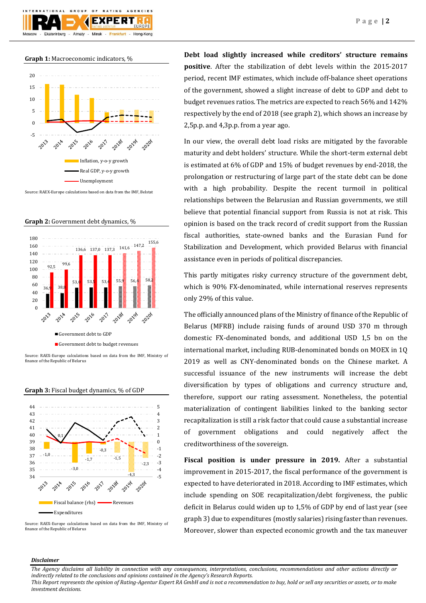**Graph 1:** Macroeconomic indicators, %



Source: RAEX-Europe calculations based on data from the IMF, Belstat

**Graph 2:** Government debt dynamics, %



Source: RAEX-Europe calculations based on data from the IMF, Ministry of finance of the Republic of Belarus





Source: RAEX-Europe calculations based on data from the IMF, Ministry of finance of the Republic of Belarus

**Debt load slightly increased while creditors' structure remains positive**. After the stabilization of debt levels within the 2015-2017 period, recent IMF estimates, which include off-balance sheet operations of the government, showed a slight increase of debt to GDP and debt to budget revenues ratios. The metrics are expected to reach 56% and 142% respectively by the end of 2018 (see graph 2), which shows an increase by 2,5p.p. and 4,3p.p. from a year ago.

In our view, the overall debt load risks are mitigated by the favorable maturity and debt holders' structure. While the short-term external debt is estimated at 6% of GDP and 15% of budget revenues by end-2018, the prolongation or restructuring of large part of the state debt can be done with a high probability. Despite the recent turmoil in political relationships between the Belarusian and Russian governments, we still believe that potential financial support from Russia is not at risk. This opinion is based on the track record of credit support from the Russian fiscal authorities, state-owned banks and the Eurasian Fund for Stabilization and Development, which provided Belarus with financial assistance even in periods of political discrepancies.

This partly mitigates risky currency structure of the government debt, which is 90% FX-denominated, while international reserves represents only 29% of this value.

The officially announced plans of the Ministry of finance of the Republic of Belarus (MFRB) include raising funds of around USD 370 m through domestic FX-denominated bonds, and additional USD 1,5 bn on the international market, including RUB-denominated bonds on MOEX in 1Q 2019 as well as CNY-denominated bonds on the Chinese market. A successful issuance of the new instruments will increase the debt diversification by types of obligations and currency structure and, therefore, support our rating assessment. Nonetheless, the potential materialization of contingent liabilities linked to the banking sector recapitalization is still a risk factor that could cause a substantial increase of government obligations and could negatively affect the creditworthiness of the sovereign.

**Fiscal position is under pressure in 2019.** After a substantial improvement in 2015-2017, the fiscal performance of the government is expected to have deteriorated in 2018. According to IMF estimates, which include spending on SOE recapitalization/debt forgiveness, the public deficit in Belarus could widen up to 1,5% of GDP by end of last year (see graph 3) due to expenditures (mostly salaries) rising faster than revenues. Moreover, slower than expected economic growth and the tax maneuver

## *Disclaimer*

*The Agency disclaims all liability in connection with any consequences, interpretations, conclusions, recommendations and other actions directly or indirectly related to the conclusions and opinions contained in the Agency's Research Reports.*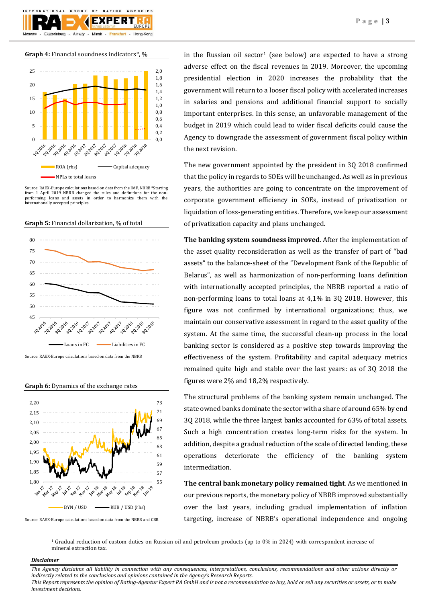

**Graph 4:** Financial soundness indicators\*, %



Source: RAEX-Europe calculations based on data from the IMF, NBRB \*Starting from 1 April 2019 NBRB changed the rules and definitions for the nonperforming loans and assets in order to harmonize them with the internationally accepted principles.





Source: RAEX-Europe calculations based on data from the NBRB







in the Russian oil sector<sup>1</sup> (see below) are expected to have a strong adverse effect on the fiscal revenues in 2019. Moreover, the upcoming presidential election in 2020 increases the probability that the government will return to a looser fiscal policy with accelerated increases in salaries and pensions and additional financial support to socially important enterprises. In this sense, an unfavorable management of the budget in 2019 which could lead to wider fiscal deficits could cause the Agency to downgrade the assessment of government fiscal policy within the next revision.

The new government appointed by the president in 3Q 2018 confirmed that the policy in regards to SOEs will be unchanged. As well as in previous years, the authorities are going to concentrate on the improvement of corporate government efficiency in SOEs, instead of privatization or liquidation of loss-generating entities. Therefore, we keep our assessment of privatization capacity and plans unchanged.

**The banking system soundness improved**. After the implementation of the asset quality reconsideration as well as the transfer of part of "bad assets" to the balance-sheet of the "Development Bank of the Republic of Belarus", as well as harmonization of non-performing loans definition with internationally accepted principles, the NBRB reported a ratio of non-performing loans to total loans at 4,1% in 3Q 2018. However, this figure was not confirmed by international organizations; thus, we maintain our conservative assessment in regard to the asset quality of the system. At the same time, the successful clean-up process in the local banking sector is considered as a positive step towards improving the effectiveness of the system. Profitability and capital adequacy metrics remained quite high and stable over the last years: as of 3Q 2018 the figures were 2% and 18,2% respectively.

The structural problems of the banking system remain unchanged. The state owned banks dominate the sector with a share of around 65% by end 3Q 2018, while the three largest banks accounted for 63% of total assets. Such a high concentration creates long-term risks for the system. In addition, despite a gradual reduction of the scale of directed lending, these operations deteriorate the efficiency of the banking system intermediation.

**The central bank monetary policy remained tight**. As we mentioned in our previous reports, the monetary policy of NBRB improved substantially over the last years, including gradual implementation of inflation targeting, increase of NBRB's operational independence and ongoing

<sup>1</sup> Gradual reduction of custom duties on Russian oil and petroleum products (up to 0% in 2024) with correspondent increase of mineral extraction tax.

# *Disclaimer*

 $\overline{a}$ 

*The Agency disclaims all liability in connection with any consequences, interpretations, conclusions, recommendations and other actions directly or indirectly related to the conclusions and opinions contained in the Agency's Research Reports. This Report represents the opinion of Rating-Agentur Expert RA GmbH and is not a recommendation to buy, hold or sell any securities or assets, or to make* 

*investment decisions.*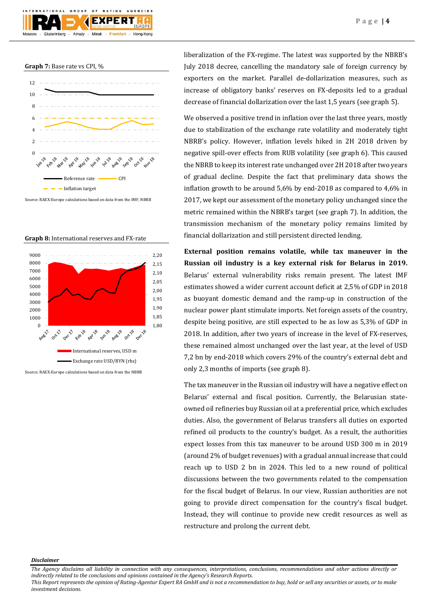



Source: RAEX-Europe calculations based on data from the IMF, NBRB





liberalization of the FX-regime. The latest was supported by the NBRB's July 2018 decree, cancelling the mandatory sale of foreign currency by exporters on the market. Parallel de-dollarization measures, such as increase of obligatory banks' reserves on FX-deposits led to a gradual decrease of financial dollarization over the last 1,5 years (see graph 5).

We observed a positive trend in inflation over the last three years, mostly due to stabilization of the exchange rate volatility and moderately tight NBRB's policy. However, inflation levels hiked in 2H 2018 driven by negative spill-over effects from RUB volatility (see graph 6). This caused the NBRB to keep its interest rate unchanged over 2H 2018 after two years of gradual decline. Despite the fact that preliminary data shows the inflation growth to be around 5,6% by end-2018 as compared to 4,6% in 2017, we kept our assessment of the monetary policy unchanged since the metric remained within the NBRB's target (see graph 7). In addition, the transmission mechanism of the monetary policy remains limited by financial dollarization and still persistent directed lending.

**External position remains volatile, while tax maneuver in the Russian oil industry is a key external risk for Belarus in 2019.** Belarus' external vulnerability risks remain present. The latest IMF estimates showed a wider current account deficit at 2,5% of GDP in 2018 as buoyant domestic demand and the ramp-up in construction of the nuclear power plant stimulate imports. Net foreign assets of the country, despite being positive, are still expected to be as low as 5,3% of GDP in 2018. In addition, after two years of increase in the level of FX-reserves, these remained almost unchanged over the last year, at the level of USD 7,2 bn by end-2018 which covers 29% of the country's external debt and only 2,3 months of imports (see graph 8).

The tax maneuver in the Russian oil industry will have a negative effect on Belarus' external and fiscal position. Currently, the Belarusian stateowned oil refineries buy Russian oil at a preferential price, which excludes duties. Also, the government of Belarus transfers all duties on exported refined oil products to the country's budget. As a result, the authorities expect losses from this tax maneuver to be around USD 300 m in 2019 (around 2% of budget revenues) with a gradual annual increase that could reach up to USD 2 bn in 2024. This led to a new round of political discussions between the two governments related to the compensation for the fiscal budget of Belarus. In our view, Russian authorities are not going to provide direct compensation for the country's fiscal budget. Instead, they will continue to provide new credit resources as well as restructure and prolong the current debt.

## *Disclaimer*

*The Agency disclaims all liability in connection with any consequences, interpretations, conclusions, recommendations and other actions directly or indirectly related to the conclusions and opinions contained in the Agency's Research Reports.*